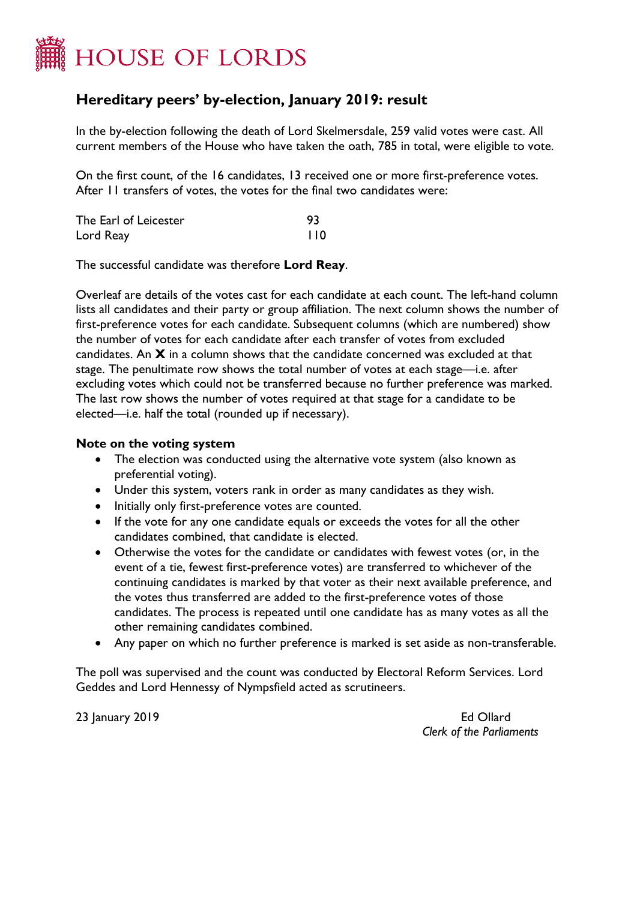

## **Hereditary peers' by-election, January 2019: result**

In the by-election following the death of Lord Skelmersdale, 259 valid votes were cast. All current members of the House who have taken the oath, 785 in total, were eligible to vote.

On the first count, of the 16 candidates, 13 received one or more first-preference votes. After 11 transfers of votes, the votes for the final two candidates were:

| The Earl of Leicester |     |
|-----------------------|-----|
| Lord Reay             | 110 |

The successful candidate was therefore **Lord Reay**.

Overleaf are details of the votes cast for each candidate at each count. The left-hand column lists all candidates and their party or group affiliation. The next column shows the number of first-preference votes for each candidate. Subsequent columns (which are numbered) show the number of votes for each candidate after each transfer of votes from excluded candidates. An **X** in a column shows that the candidate concerned was excluded at that stage. The penultimate row shows the total number of votes at each stage—i.e. after excluding votes which could not be transferred because no further preference was marked. The last row shows the number of votes required at that stage for a candidate to be elected—i.e. half the total (rounded up if necessary).

## **Note on the voting system**

- The election was conducted using the alternative vote system (also known as preferential voting).
- Under this system, voters rank in order as many candidates as they wish.
- Initially only first-preference votes are counted.
- If the vote for any one candidate equals or exceeds the votes for all the other candidates combined, that candidate is elected.
- Otherwise the votes for the candidate or candidates with fewest votes (or, in the event of a tie, fewest first-preference votes) are transferred to whichever of the continuing candidates is marked by that voter as their next available preference, and the votes thus transferred are added to the first-preference votes of those candidates. The process is repeated until one candidate has as many votes as all the other remaining candidates combined.
- Any paper on which no further preference is marked is set aside as non-transferable.

The poll was supervised and the count was conducted by Electoral Reform Services. Lord Geddes and Lord Hennessy of Nympsfield acted as scrutineers.

23 January 2019 Ed Ollard

*Clerk of the Parliaments*